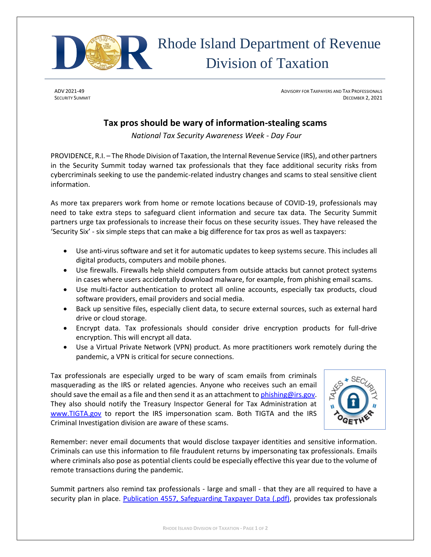

ADV 2021-49 **ADVISORY FOR TAXPAYERS AND TAX PROFESSIONALS** AND TAXPAYERS AND TAXPAYERS AND TAXPROFESSIONALS SECURITY SUMMIT DECEMBER 2, 2021

## **Tax pros should be wary of information-stealing scams**

*National Tax Security Awareness Week - Day Four*

PROVIDENCE, R.I. – The Rhode Division of Taxation, the Internal Revenue Service (IRS), and other partners in the Security Summit today warned tax professionals that they face additional security risks from cybercriminals seeking to use the pandemic-related industry changes and scams to steal sensitive client information.

As more tax preparers work from home or remote locations because of COVID-19, professionals may need to take extra steps to safeguard client information and secure tax data. The Security Summit partners urge tax professionals to increase their focus on these security issues. They have released the 'Security Six' - six simple steps that can make a big difference for tax pros as well as taxpayers:

- Use anti-virus software and set it for automatic updates to keep systems secure. This includes all digital products, computers and mobile phones.
- Use firewalls. Firewalls help shield computers from outside attacks but cannot protect systems in cases where users accidentally download malware, for example, from phishing email scams.
- Use multi-factor authentication to protect all online accounts, especially tax products, cloud software providers, email providers and social media.
- Back up sensitive files, especially client data, to secure external sources, such as external hard drive or cloud storage.
- Encrypt data. Tax professionals should consider drive encryption products for full-drive encryption. This will encrypt all data.
- Use a Virtual Private Network (VPN) product. As more practitioners work remotely during the pandemic, a VPN is critical for secure connections.

Tax professionals are especially urged to be wary of scam emails from criminals masquerading as the IRS or related agencies. Anyone who receives such an email should save the email as a file and then send it as an attachment t[o phishing@irs.gov.](mailto:phishing@irs.gov) They also should notify the Treasury Inspector General for Tax Administration at [www.TIGTA.gov](http://www.tigta.gov/) to report the IRS impersonation scam. Both TIGTA and the IRS Criminal Investigation division are aware of these scams.



Remember: never email documents that would disclose taxpayer identities and sensitive information. Criminals can use this information to file fraudulent returns by impersonating tax professionals. Emails where criminals also pose as potential clients could be especially effective this year due to the volume of remote transactions during the pandemic.

Summit partners also remind tax professionals - large and small - that they are all required to have a security plan in place. [Publication 4557, Safeguarding Taxpayer Data \(.pdf\),](https://www.irs.gov/pub/irs-pdf/p4557.pdf) provides tax professionals